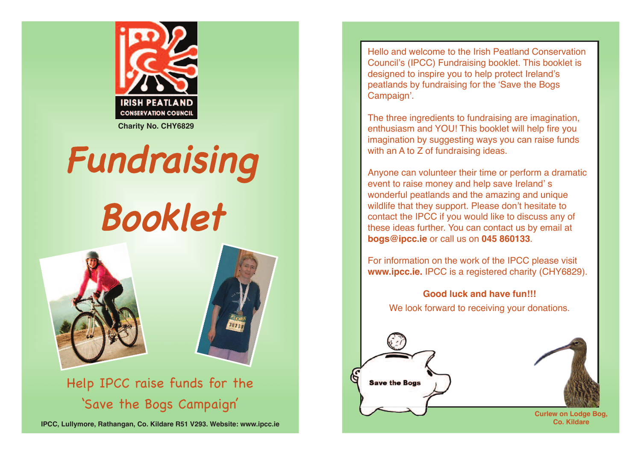

**Charity No. CHY6829**

## Fundraising

## Booklet





Help IPCC raise funds for the 'Save the Bogs Campaign '

**IPCC, Lullymore, Rathangan, Co. Kildare R51 V293. Website: www.ipcc.ie**

Hello and welcome to the Irish Peatland Conservation Council's (IPCC) Fundraising booklet. This booklet is designed to inspire you to help protect Ireland's peatlands by fundraising for the Save the Bogs Campaign.

The three ingredients to fundraising are imagination, enthusiasm and YOU! This booklet will help fire you imagination by suggesting ways you can raise funds with an A to Z of fundraising ideas.

Anyone can volunteer their time or perform a dramatic event to raise money and help save Ireland's wonderful peatlands and the amazing and unique wildlife that they support. Please don't hesitate to contact the IPCC if you would like to discuss any of these ideas further. You can contact us by email at **bogs@ipcc.ie** or call us on **045 860133**.

For information on the work of the IPCC please visit **www.ipcc.ie.** IPCC is a registered charity (CHY6829).

**Good luck and have fun!!!** We look forward to receiving your donations.